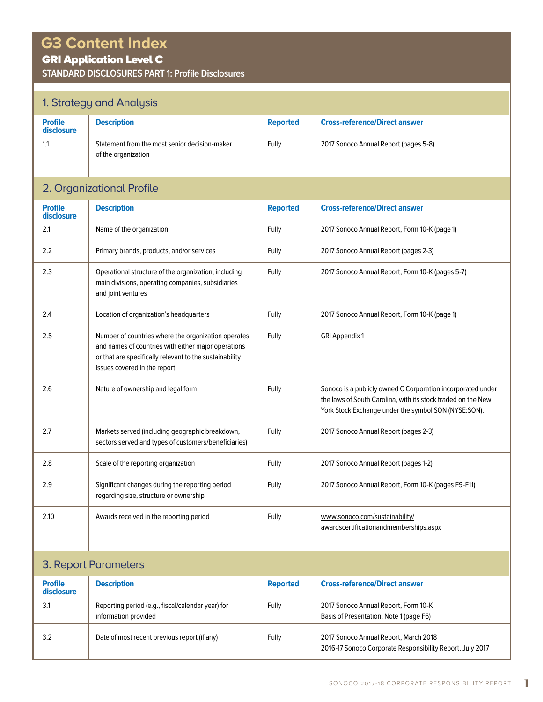# **G3 Content Index**

## GRI Application Level C

**STANDARD DISCLOSURES PART 1: Profile Disclosures**

## 1. Strategy and Analysis

|                                     | 1. Strategy and Analysis                                                                                                                                                                               |                          |                                                                                                                                                                                     |  |  |
|-------------------------------------|--------------------------------------------------------------------------------------------------------------------------------------------------------------------------------------------------------|--------------------------|-------------------------------------------------------------------------------------------------------------------------------------------------------------------------------------|--|--|
| <b>Profile</b><br>disclosure<br>1.1 | <b>Description</b><br>Statement from the most senior decision-maker<br>of the organization                                                                                                             | <b>Reported</b><br>Fully | <b>Cross-reference/Direct answer</b><br>2017 Sonoco Annual Report (pages 5-8)                                                                                                       |  |  |
|                                     | 2. Organizational Profile                                                                                                                                                                              |                          |                                                                                                                                                                                     |  |  |
| <b>Profile</b><br>disclosure        | <b>Description</b>                                                                                                                                                                                     | <b>Reported</b>          | <b>Cross-reference/Direct answer</b>                                                                                                                                                |  |  |
| 2.1                                 | Name of the organization                                                                                                                                                                               | Fully                    | 2017 Sonoco Annual Report, Form 10-K (page 1)                                                                                                                                       |  |  |
| 2.2                                 | Primary brands, products, and/or services                                                                                                                                                              | Fully                    | 2017 Sonoco Annual Report (pages 2-3)                                                                                                                                               |  |  |
| 2.3                                 | Operational structure of the organization, including<br>main divisions, operating companies, subsidiaries<br>and joint ventures                                                                        | Fully                    | 2017 Sonoco Annual Report, Form 10-K (pages 5-7)                                                                                                                                    |  |  |
| 2.4                                 | Location of organization's headquarters                                                                                                                                                                | Fully                    | 2017 Sonoco Annual Report, Form 10-K (page 1)                                                                                                                                       |  |  |
| 2.5                                 | Number of countries where the organization operates<br>and names of countries with either major operations<br>or that are specifically relevant to the sustainability<br>issues covered in the report. | Fully                    | <b>GRI Appendix 1</b>                                                                                                                                                               |  |  |
| 2.6                                 | Nature of ownership and legal form                                                                                                                                                                     | Fully                    | Sonoco is a publicly owned C Corporation incorporated under<br>the laws of South Carolina, with its stock traded on the New<br>York Stock Exchange under the symbol SON (NYSE:SON). |  |  |
| 2.7                                 | Markets served (including geographic breakdown,<br>sectors served and types of customers/beneficiaries)                                                                                                | Fully                    | 2017 Sonoco Annual Report (pages 2-3)                                                                                                                                               |  |  |
| 2.8                                 | Scale of the reporting organization                                                                                                                                                                    | Fully                    | 2017 Sonoco Annual Report (pages 1-2)                                                                                                                                               |  |  |
| 2.9                                 | Significant changes during the reporting period<br>regarding size, structure or ownership                                                                                                              | Fully                    | 2017 Sonoco Annual Report, Form 10-K (pages F9-F11)                                                                                                                                 |  |  |
| 2.10                                | Awards received in the reporting period                                                                                                                                                                | Fully                    | www.sonoco.com/sustainability/<br>awardscertificationandmemberships.aspx                                                                                                            |  |  |

### 3. Report Parameters

| <b>Profile</b><br>disclosure | <b>Description</b>                                                        | <b>Reported</b> | <b>Cross-reference/Direct answer</b>                                                               |
|------------------------------|---------------------------------------------------------------------------|-----------------|----------------------------------------------------------------------------------------------------|
| 3.1                          | Reporting period (e.g., fiscal/calendar year) for<br>information provided | Fully           | 2017 Sonoco Annual Report, Form 10-K<br>Basis of Presentation, Note 1 (page F6)                    |
| 3.2                          | Date of most recent previous report (if any)                              | Fully           | 2017 Sonoco Annual Report, March 2018<br>2016-17 Sonoco Corporate Responsibility Report, July 2017 |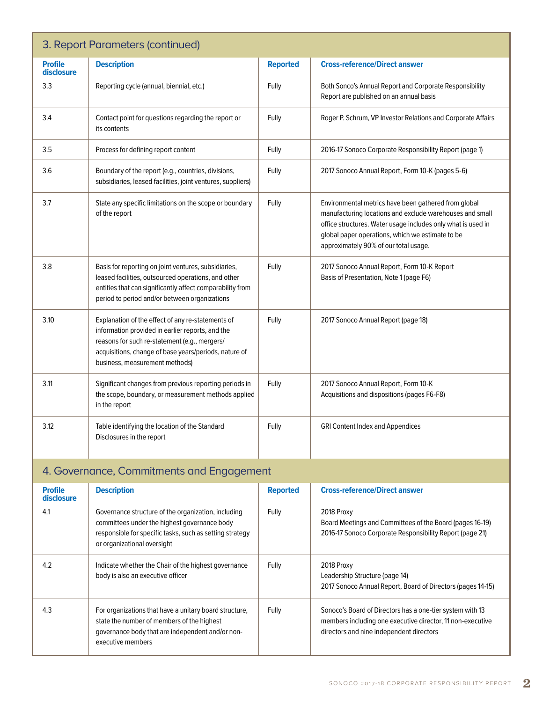| 3. Report Parameters (continued) |                                                                                                                                                                                                                                                   |                 |                                                                                                                                                                                                                                                                               |  |
|----------------------------------|---------------------------------------------------------------------------------------------------------------------------------------------------------------------------------------------------------------------------------------------------|-----------------|-------------------------------------------------------------------------------------------------------------------------------------------------------------------------------------------------------------------------------------------------------------------------------|--|
| <b>Profile</b><br>disclosure     | <b>Description</b>                                                                                                                                                                                                                                | <b>Reported</b> | <b>Cross-reference/Direct answer</b>                                                                                                                                                                                                                                          |  |
| 3.3                              | Reporting cycle (annual, biennial, etc.)                                                                                                                                                                                                          | Fully           | Both Sonco's Annual Report and Corporate Responsibility<br>Report are published on an annual basis                                                                                                                                                                            |  |
| 3.4                              | Contact point for questions regarding the report or<br>its contents                                                                                                                                                                               | Fully           | Roger P. Schrum, VP Investor Relations and Corporate Affairs                                                                                                                                                                                                                  |  |
| 3.5                              | Process for defining report content                                                                                                                                                                                                               | Fully           | 2016-17 Sonoco Corporate Responsibility Report (page 1)                                                                                                                                                                                                                       |  |
| 3.6                              | Boundary of the report (e.g., countries, divisions,<br>subsidiaries, leased facilities, joint ventures, suppliers)                                                                                                                                | Fully           | 2017 Sonoco Annual Report, Form 10-K (pages 5-6)                                                                                                                                                                                                                              |  |
| 3.7                              | State any specific limitations on the scope or boundary<br>of the report                                                                                                                                                                          | Fully           | Environmental metrics have been gathered from global<br>manufacturing locations and exclude warehouses and small<br>office structures. Water usage includes only what is used in<br>global paper operations, which we estimate to be<br>approximately 90% of our total usage. |  |
| 3.8                              | Basis for reporting on joint ventures, subsidiaries,<br>leased facilities, outsourced operations, and other<br>entities that can significantly affect comparability from<br>period to period and/or between organizations                         | Fully           | 2017 Sonoco Annual Report, Form 10-K Report<br>Basis of Presentation, Note 1 (page F6)                                                                                                                                                                                        |  |
| 3.10                             | Explanation of the effect of any re-statements of<br>information provided in earlier reports, and the<br>reasons for such re-statement (e.g., mergers/<br>acquisitions, change of base years/periods, nature of<br>business, measurement methods) | Fully           | 2017 Sonoco Annual Report (page 18)                                                                                                                                                                                                                                           |  |
| 3.11                             | Significant changes from previous reporting periods in<br>the scope, boundary, or measurement methods applied<br>in the report                                                                                                                    | Fully           | 2017 Sonoco Annual Report, Form 10-K<br>Acquisitions and dispositions (pages F6-F8)                                                                                                                                                                                           |  |
| 3.12                             | Table identifying the location of the Standard<br>Disclosures in the report                                                                                                                                                                       | Fully           | <b>GRI Content Index and Appendices</b>                                                                                                                                                                                                                                       |  |

## 4. Governance, Commitments and Engagement

| <b>Profile</b><br>disclosure | <b>Description</b>                                                                                                                                                                             | <b>Reported</b> | <b>Cross-reference/Direct answer</b>                                                                                                                                |
|------------------------------|------------------------------------------------------------------------------------------------------------------------------------------------------------------------------------------------|-----------------|---------------------------------------------------------------------------------------------------------------------------------------------------------------------|
| 4.1                          | Governance structure of the organization, including<br>committees under the highest governance body<br>responsible for specific tasks, such as setting strategy<br>or organizational oversight | Fully           | 2018 Proxy<br>Board Meetings and Committees of the Board (pages 16-19)<br>2016-17 Sonoco Corporate Responsibility Report (page 21)                                  |
| 4.2                          | Indicate whether the Chair of the highest governance<br>body is also an executive officer                                                                                                      | Fully           | 2018 Proxy<br>Leadership Structure (page 14)<br>2017 Sonoco Annual Report, Board of Directors (pages 14-15)                                                         |
| 4.3                          | For organizations that have a unitary board structure,<br>state the number of members of the highest<br>governance body that are independent and/or non-<br>executive members                  | Fully           | Sonoco's Board of Directors has a one-tier system with 13<br>members including one executive director, 11 non-executive<br>directors and nine independent directors |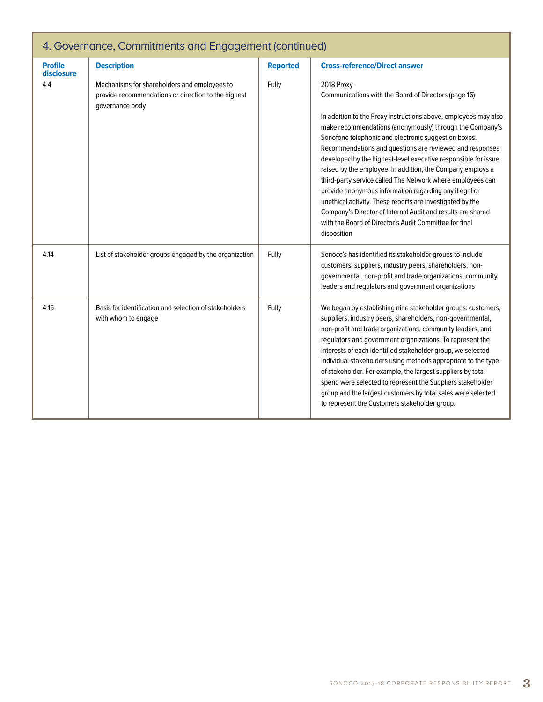| 4. Governance, Commitments and Engagement (continued) |                                                                                                                        |                 |                                                                                                                                                                                                                                                                                                                                                                                                                                                                                                                                                                                                                                                                                                                                                                                    |
|-------------------------------------------------------|------------------------------------------------------------------------------------------------------------------------|-----------------|------------------------------------------------------------------------------------------------------------------------------------------------------------------------------------------------------------------------------------------------------------------------------------------------------------------------------------------------------------------------------------------------------------------------------------------------------------------------------------------------------------------------------------------------------------------------------------------------------------------------------------------------------------------------------------------------------------------------------------------------------------------------------------|
| <b>Profile</b><br>disclosure                          | <b>Description</b>                                                                                                     | <b>Reported</b> | <b>Cross-reference/Direct answer</b>                                                                                                                                                                                                                                                                                                                                                                                                                                                                                                                                                                                                                                                                                                                                               |
| 4.4                                                   | Mechanisms for shareholders and employees to<br>provide recommendations or direction to the highest<br>governance body | Fully           | 2018 Proxy<br>Communications with the Board of Directors (page 16)<br>In addition to the Proxy instructions above, employees may also<br>make recommendations (anonymously) through the Company's<br>Sonofone telephonic and electronic suggestion boxes.<br>Recommendations and questions are reviewed and responses<br>developed by the highest-level executive responsible for issue<br>raised by the employee. In addition, the Company employs a<br>third-party service called The Network where employees can<br>provide anonymous information regarding any illegal or<br>unethical activity. These reports are investigated by the<br>Company's Director of Internal Audit and results are shared<br>with the Board of Director's Audit Committee for final<br>disposition |
| 4.14                                                  | List of stakeholder groups engaged by the organization                                                                 | Fully           | Sonoco's has identified its stakeholder groups to include<br>customers, suppliers, industry peers, shareholders, non-<br>governmental, non-profit and trade organizations, community<br>leaders and regulators and government organizations                                                                                                                                                                                                                                                                                                                                                                                                                                                                                                                                        |
| 4.15                                                  | Basis for identification and selection of stakeholders<br>with whom to engage                                          | Fully           | We began by establishing nine stakeholder groups: customers,<br>suppliers, industry peers, shareholders, non-governmental,<br>non-profit and trade organizations, community leaders, and<br>regulators and government organizations. To represent the<br>interests of each identified stakeholder group, we selected<br>individual stakeholders using methods appropriate to the type<br>of stakeholder. For example, the largest suppliers by total<br>spend were selected to represent the Suppliers stakeholder<br>group and the largest customers by total sales were selected<br>to represent the Customers stakeholder group.                                                                                                                                                |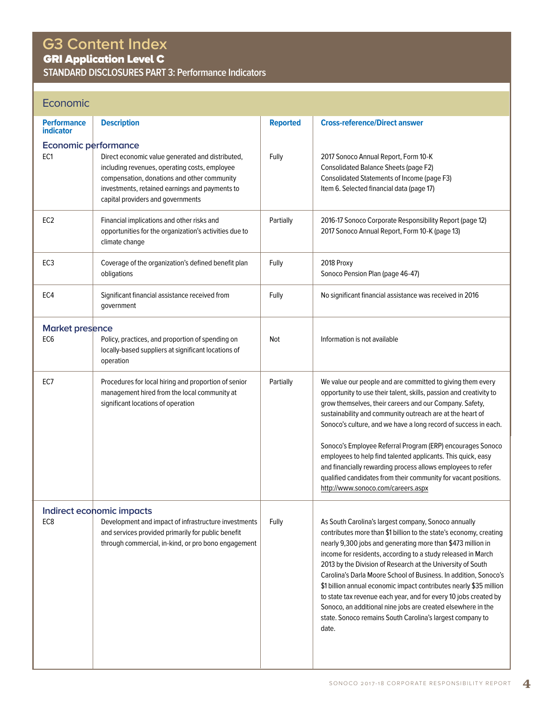# **G3 Content Index**

GRI Application Level C

**STANDARD DISCLOSURES PART 3: Performance Indicators**

### Economic

| <b>Performance</b><br><b>indicator</b> | <b>Description</b>                                                                                   | <b>Reported</b> | <b>Cross-reference/Direct answer</b>                                                                                                   |
|----------------------------------------|------------------------------------------------------------------------------------------------------|-----------------|----------------------------------------------------------------------------------------------------------------------------------------|
| Economic performance                   |                                                                                                      |                 |                                                                                                                                        |
| EC <sub>1</sub>                        | Direct economic value generated and distributed,                                                     | Fully           | 2017 Sonoco Annual Report, Form 10-K                                                                                                   |
|                                        | including revenues, operating costs, employee<br>compensation, donations and other community         |                 | <b>Consolidated Balance Sheets (page F2)</b><br>Consolidated Statements of Income (page F3)                                            |
|                                        | investments, retained earnings and payments to                                                       |                 | Item 6. Selected financial data (page 17)                                                                                              |
|                                        | capital providers and governments                                                                    |                 |                                                                                                                                        |
| EC <sub>2</sub>                        | Financial implications and other risks and                                                           | Partially       | 2016-17 Sonoco Corporate Responsibility Report (page 12)                                                                               |
|                                        | opportunities for the organization's activities due to                                               |                 | 2017 Sonoco Annual Report, Form 10-K (page 13)                                                                                         |
|                                        | climate change                                                                                       |                 |                                                                                                                                        |
| EC <sub>3</sub>                        | Coverage of the organization's defined benefit plan                                                  | Fully           | 2018 Proxy                                                                                                                             |
|                                        | obligations                                                                                          |                 | Sonoco Pension Plan (page 46-47)                                                                                                       |
| EC4                                    | Significant financial assistance received from                                                       | Fully           | No significant financial assistance was received in 2016                                                                               |
|                                        | government                                                                                           |                 |                                                                                                                                        |
| <b>Market presence</b>                 |                                                                                                      |                 |                                                                                                                                        |
| EC <sub>6</sub>                        | Policy, practices, and proportion of spending on                                                     | Not             | Information is not available                                                                                                           |
|                                        | locally-based suppliers at significant locations of<br>operation                                     |                 |                                                                                                                                        |
|                                        |                                                                                                      |                 |                                                                                                                                        |
| EC7                                    | Procedures for local hiring and proportion of senior<br>management hired from the local community at | Partially       | We value our people and are committed to giving them every<br>opportunity to use their talent, skills, passion and creativity to       |
|                                        | significant locations of operation                                                                   |                 | grow themselves, their careers and our Company. Safety,                                                                                |
|                                        |                                                                                                      |                 | sustainability and community outreach are at the heart of                                                                              |
|                                        |                                                                                                      |                 | Sonoco's culture, and we have a long record of success in each.                                                                        |
|                                        |                                                                                                      |                 | Sonoco's Employee Referral Program (ERP) encourages Sonoco                                                                             |
|                                        |                                                                                                      |                 | employees to help find talented applicants. This quick, easy                                                                           |
|                                        |                                                                                                      |                 | and financially rewarding process allows employees to refer<br>qualified candidates from their community for vacant positions.         |
|                                        |                                                                                                      |                 | http://www.sonoco.com/careers.aspx                                                                                                     |
|                                        | Indirect economic impacts                                                                            |                 |                                                                                                                                        |
| EC <sub>8</sub>                        | Development and impact of infrastructure investments                                                 | Fully           | As South Carolina's largest company, Sonoco annually                                                                                   |
|                                        | and services provided primarily for public benefit                                                   |                 | contributes more than \$1 billion to the state's economy, creating                                                                     |
|                                        | through commercial, in-kind, or pro bono engagement                                                  |                 | nearly 9,300 jobs and generating more than \$473 million in<br>income for residents, according to a study released in March            |
|                                        |                                                                                                      |                 | 2013 by the Division of Research at the University of South                                                                            |
|                                        |                                                                                                      |                 | Carolina's Darla Moore School of Business. In addition, Sonoco's                                                                       |
|                                        |                                                                                                      |                 | \$1 billion annual economic impact contributes nearly \$35 million<br>to state tax revenue each year, and for every 10 jobs created by |
|                                        |                                                                                                      |                 | Sonoco, an additional nine jobs are created elsewhere in the                                                                           |
|                                        |                                                                                                      |                 | state. Sonoco remains South Carolina's largest company to<br>date.                                                                     |
|                                        |                                                                                                      |                 |                                                                                                                                        |
|                                        |                                                                                                      |                 |                                                                                                                                        |
|                                        |                                                                                                      |                 |                                                                                                                                        |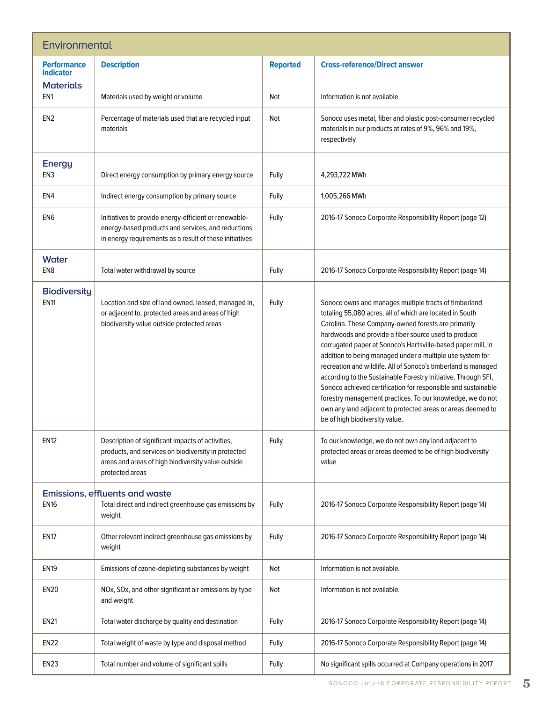| Environmental                                              |                                                                                                                                                                                   |                 |                                                                                                                                                                                                                                                                                                                                                                                                                                                                                                                                                                                                                                                                                                                                   |  |
|------------------------------------------------------------|-----------------------------------------------------------------------------------------------------------------------------------------------------------------------------------|-----------------|-----------------------------------------------------------------------------------------------------------------------------------------------------------------------------------------------------------------------------------------------------------------------------------------------------------------------------------------------------------------------------------------------------------------------------------------------------------------------------------------------------------------------------------------------------------------------------------------------------------------------------------------------------------------------------------------------------------------------------------|--|
| <b>Performance</b><br><b>indicator</b><br><b>Materials</b> | <b>Description</b>                                                                                                                                                                | <b>Reported</b> | <b>Cross-reference/Direct answer</b>                                                                                                                                                                                                                                                                                                                                                                                                                                                                                                                                                                                                                                                                                              |  |
| EN <sub>1</sub>                                            | Materials used by weight or volume                                                                                                                                                | Not             | Information is not available                                                                                                                                                                                                                                                                                                                                                                                                                                                                                                                                                                                                                                                                                                      |  |
| EN <sub>2</sub>                                            | Percentage of materials used that are recycled input<br>materials                                                                                                                 | Not             | Sonoco uses metal, fiber and plastic post-consumer recycled<br>materials in our products at rates of 9%, 96% and 19%,<br>respectively                                                                                                                                                                                                                                                                                                                                                                                                                                                                                                                                                                                             |  |
| <b>Energy</b><br>EN <sub>3</sub>                           | Direct energy consumption by primary energy source                                                                                                                                | Fully           | 4,293,722 MWh                                                                                                                                                                                                                                                                                                                                                                                                                                                                                                                                                                                                                                                                                                                     |  |
| EN4                                                        | Indirect energy consumption by primary source                                                                                                                                     | Fully           | 1,005,266 MWh                                                                                                                                                                                                                                                                                                                                                                                                                                                                                                                                                                                                                                                                                                                     |  |
| EN <sub>6</sub>                                            | Initiatives to provide energy-efficient or renewable-<br>energy-based products and services, and reductions<br>in energy requirements as a result of these initiatives            | Fully           | 2016-17 Sonoco Corporate Responsibility Report (page 12)                                                                                                                                                                                                                                                                                                                                                                                                                                                                                                                                                                                                                                                                          |  |
| <b>Water</b><br>EN <sub>8</sub>                            | Total water withdrawal by source                                                                                                                                                  | Fully           | 2016-17 Sonoco Corporate Responsibility Report (page 14)                                                                                                                                                                                                                                                                                                                                                                                                                                                                                                                                                                                                                                                                          |  |
| <b>Biodiversity</b><br><b>EN11</b>                         | Location and size of land owned, leased, managed in,<br>or adjacent to, protected areas and areas of high<br>biodiversity value outside protected areas                           | Fully           | Sonoco owns and manages multiple tracts of timberland<br>totaling 55,080 acres, all of which are located in South<br>Carolina. These Company-owned forests are primarily<br>hardwoods and provide a fiber source used to produce<br>corrugated paper at Sonoco's Hartsville-based paper mill, in<br>addition to being managed under a multiple use system for<br>recreation and wildlife. All of Sonoco's timberland is managed<br>according to the Sustainable Forestry Initiative. Through SFI,<br>Sonoco achieved certification for responsible and sustainable<br>forestry management practices. To our knowledge, we do not<br>own any land adjacent to protected areas or areas deemed to<br>be of high biodiversity value. |  |
| <b>EN12</b>                                                | Description of significant impacts of activities,<br>products, and services on biodiversity in protected<br>areas and areas of high biodiversity value outside<br>protected areas | Fully           | To our knowledge, we do not own any land adjacent to<br>protected areas or areas deemed to be of high biodiversity<br>value                                                                                                                                                                                                                                                                                                                                                                                                                                                                                                                                                                                                       |  |
|                                                            | Emissions, effluents and waste                                                                                                                                                    |                 |                                                                                                                                                                                                                                                                                                                                                                                                                                                                                                                                                                                                                                                                                                                                   |  |
| <b>EN16</b>                                                | Total direct and indirect greenhouse gas emissions by<br>weight                                                                                                                   | Fully           | 2016-17 Sonoco Corporate Responsibility Report (page 14)                                                                                                                                                                                                                                                                                                                                                                                                                                                                                                                                                                                                                                                                          |  |
| <b>EN17</b>                                                | Other relevant indirect greenhouse gas emissions by<br>weight                                                                                                                     | Fully           | 2016-17 Sonoco Corporate Responsibility Report (page 14)                                                                                                                                                                                                                                                                                                                                                                                                                                                                                                                                                                                                                                                                          |  |
| <b>EN19</b>                                                | Emissions of ozone-depleting substances by weight                                                                                                                                 | Not             | Information is not available.                                                                                                                                                                                                                                                                                                                                                                                                                                                                                                                                                                                                                                                                                                     |  |
| <b>EN20</b>                                                | NOx, SOx, and other significant air emissions by type<br>and weight                                                                                                               | Not             | Information is not available.                                                                                                                                                                                                                                                                                                                                                                                                                                                                                                                                                                                                                                                                                                     |  |
| <b>EN21</b>                                                | Total water discharge by quality and destination                                                                                                                                  | Fully           | 2016-17 Sonoco Corporate Responsibility Report (page 14)                                                                                                                                                                                                                                                                                                                                                                                                                                                                                                                                                                                                                                                                          |  |
| <b>EN22</b>                                                | Total weight of waste by type and disposal method                                                                                                                                 | Fully           | 2016-17 Sonoco Corporate Responsibility Report (page 14)                                                                                                                                                                                                                                                                                                                                                                                                                                                                                                                                                                                                                                                                          |  |
| <b>EN23</b>                                                | Total number and volume of significant spills                                                                                                                                     | Fully           | No significant spills occurred at Company operations in 2017                                                                                                                                                                                                                                                                                                                                                                                                                                                                                                                                                                                                                                                                      |  |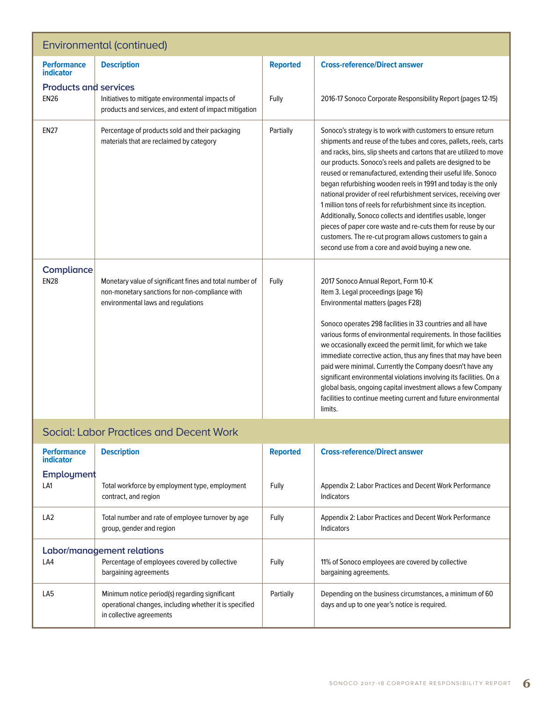| Environmental (continued)                      |                                                                                                                                                 |                 |                                                                                                                                                                                                                                                                                                                                                                                                                                                                                                                                                                                                                                                                                                                                                                                                 |  |
|------------------------------------------------|-------------------------------------------------------------------------------------------------------------------------------------------------|-----------------|-------------------------------------------------------------------------------------------------------------------------------------------------------------------------------------------------------------------------------------------------------------------------------------------------------------------------------------------------------------------------------------------------------------------------------------------------------------------------------------------------------------------------------------------------------------------------------------------------------------------------------------------------------------------------------------------------------------------------------------------------------------------------------------------------|--|
| <b>Performance</b><br><b>indicator</b>         | <b>Description</b>                                                                                                                              | <b>Reported</b> | <b>Cross-reference/Direct answer</b>                                                                                                                                                                                                                                                                                                                                                                                                                                                                                                                                                                                                                                                                                                                                                            |  |
| <b>Products and services</b><br><b>EN26</b>    | Initiatives to mitigate environmental impacts of<br>products and services, and extent of impact mitigation                                      | Fully           | 2016-17 Sonoco Corporate Responsibility Report (pages 12-15)                                                                                                                                                                                                                                                                                                                                                                                                                                                                                                                                                                                                                                                                                                                                    |  |
| <b>EN27</b>                                    | Percentage of products sold and their packaging<br>materials that are reclaimed by category                                                     | Partially       | Sonoco's strategy is to work with customers to ensure return<br>shipments and reuse of the tubes and cores, pallets, reels, carts<br>and racks, bins, slip sheets and cartons that are utilized to move<br>our products. Sonoco's reels and pallets are designed to be<br>reused or remanufactured, extending their useful life. Sonoco<br>began refurbishing wooden reels in 1991 and today is the only<br>national provider of reel refurbishment services, receiving over<br>1 million tons of reels for refurbishment since its inception.<br>Additionally, Sonoco collects and identifies usable, longer<br>pieces of paper core waste and re-cuts them for reuse by our<br>customers. The re-cut program allows customers to gain a<br>second use from a core and avoid buying a new one. |  |
| Compliance<br><b>EN28</b>                      | Monetary value of significant fines and total number of<br>non-monetary sanctions for non-compliance with<br>environmental laws and regulations | Fully           | 2017 Sonoco Annual Report, Form 10-K<br>Item 3. Legal proceedings (page 16)<br>Environmental matters (pages F28)<br>Sonoco operates 298 facilities in 33 countries and all have<br>various forms of environmental requirements. In those facilities<br>we occasionally exceed the permit limit, for which we take<br>immediate corrective action, thus any fines that may have been<br>paid were minimal. Currently the Company doesn't have any<br>significant environmental violations involving its facilities. On a<br>global basis, ongoing capital investment allows a few Company<br>facilities to continue meeting current and future environmental<br>limits.                                                                                                                          |  |
| <b>Social: Labor Practices and Decent Work</b> |                                                                                                                                                 |                 |                                                                                                                                                                                                                                                                                                                                                                                                                                                                                                                                                                                                                                                                                                                                                                                                 |  |

| <b>Performance</b><br>indicator | <b>Description</b>                                                                                                                   | <b>Reported</b> | <b>Cross-reference/Direct answer</b>                                                                      |
|---------------------------------|--------------------------------------------------------------------------------------------------------------------------------------|-----------------|-----------------------------------------------------------------------------------------------------------|
| Employment                      |                                                                                                                                      |                 |                                                                                                           |
| LA1                             | Total workforce by employment type, employment<br>contract, and region                                                               | Fully           | Appendix 2: Labor Practices and Decent Work Performance<br>Indicators                                     |
| LA <sub>2</sub>                 | Total number and rate of employee turnover by age<br>group, gender and region                                                        | Fully           | Appendix 2: Labor Practices and Decent Work Performance<br>Indicators                                     |
| Labor/management relations      |                                                                                                                                      |                 |                                                                                                           |
| LA4                             | Percentage of employees covered by collective<br>bargaining agreements                                                               | Fully           | 11% of Sonoco employees are covered by collective<br>bargaining agreements.                               |
| LA <sub>5</sub>                 | Minimum notice period(s) regarding significant<br>operational changes, including whether it is specified<br>in collective agreements | Partially       | Depending on the business circumstances, a minimum of 60<br>days and up to one year's notice is required. |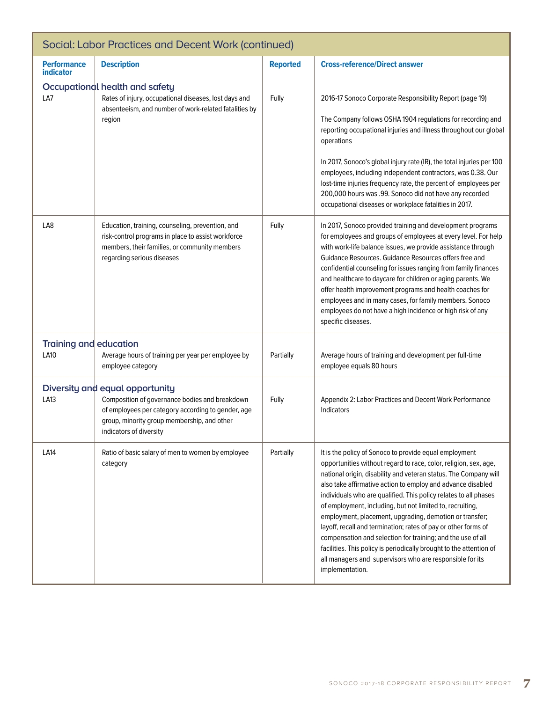| Social: Labor Practices and Decent Work (continued) |                                                                                                                                                                                                                   |                 |                                                                                                                                                                                                                                                                                                                                                                                                                                                                                                                                                                                                                                                                                                                                                  |
|-----------------------------------------------------|-------------------------------------------------------------------------------------------------------------------------------------------------------------------------------------------------------------------|-----------------|--------------------------------------------------------------------------------------------------------------------------------------------------------------------------------------------------------------------------------------------------------------------------------------------------------------------------------------------------------------------------------------------------------------------------------------------------------------------------------------------------------------------------------------------------------------------------------------------------------------------------------------------------------------------------------------------------------------------------------------------------|
| <b>Performance</b><br><b>indicator</b>              | <b>Description</b>                                                                                                                                                                                                | <b>Reported</b> | <b>Cross-reference/Direct answer</b>                                                                                                                                                                                                                                                                                                                                                                                                                                                                                                                                                                                                                                                                                                             |
| LA7                                                 | Occupational health and safety<br>Rates of injury, occupational diseases, lost days and<br>absenteeism, and number of work-related fatalities by<br>region                                                        | Fully           | 2016-17 Sonoco Corporate Responsibility Report (page 19)<br>The Company follows OSHA 1904 regulations for recording and<br>reporting occupational injuries and illness throughout our global<br>operations<br>In 2017, Sonoco's global injury rate (IR), the total injuries per 100<br>employees, including independent contractors, was 0.38. Our<br>lost-time injuries frequency rate, the percent of employees per<br>200,000 hours was .99. Sonoco did not have any recorded<br>occupational diseases or workplace fatalities in 2017.                                                                                                                                                                                                       |
| LA8                                                 | Education, training, counseling, prevention, and<br>risk-control programs in place to assist workforce<br>members, their families, or community members<br>regarding serious diseases                             | Fully           | In 2017, Sonoco provided training and development programs<br>for employees and groups of employees at every level. For help<br>with work-life balance issues, we provide assistance through<br>Guidance Resources. Guidance Resources offers free and<br>confidential counseling for issues ranging from family finances<br>and healthcare to daycare for children or aging parents. We<br>offer health improvement programs and health coaches for<br>employees and in many cases, for family members. Sonoco<br>employees do not have a high incidence or high risk of any<br>specific diseases.                                                                                                                                              |
| Training and education<br><b>LA10</b>               | Average hours of training per year per employee by<br>employee category                                                                                                                                           | Partially       | Average hours of training and development per full-time<br>employee equals 80 hours                                                                                                                                                                                                                                                                                                                                                                                                                                                                                                                                                                                                                                                              |
| LA13                                                | Diversity and equal opportunity<br>Composition of governance bodies and breakdown<br>of employees per category according to gender, age<br>group, minority group membership, and other<br>indicators of diversity | Fully           | Appendix 2: Labor Practices and Decent Work Performance<br>Indicators                                                                                                                                                                                                                                                                                                                                                                                                                                                                                                                                                                                                                                                                            |
| LA14                                                | Ratio of basic salary of men to women by employee<br>category                                                                                                                                                     | Partially       | It is the policy of Sonoco to provide equal employment<br>opportunities without regard to race, color, religion, sex, age,<br>national origin, disability and veteran status. The Company will<br>also take affirmative action to employ and advance disabled<br>individuals who are qualified. This policy relates to all phases<br>of employment, including, but not limited to, recruiting,<br>employment, placement, upgrading, demotion or transfer;<br>layoff, recall and termination; rates of pay or other forms of<br>compensation and selection for training; and the use of all<br>facilities. This policy is periodically brought to the attention of<br>all managers and supervisors who are responsible for its<br>implementation. |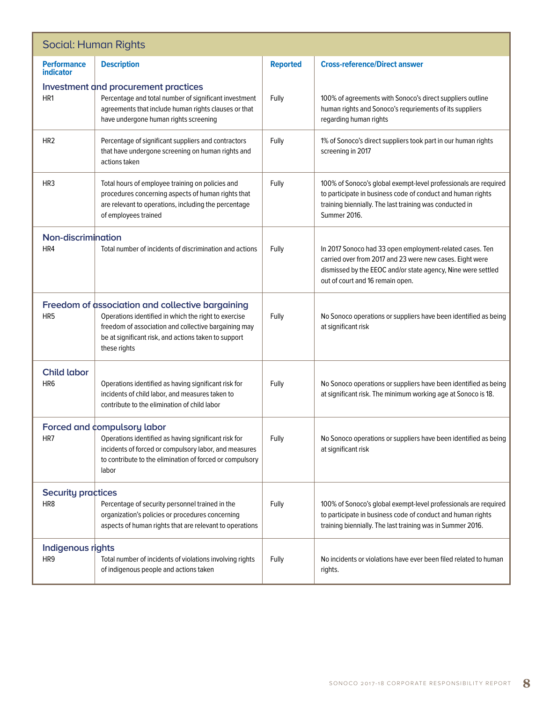| <b>Social: Human Rights</b>            |                                                                                                                                                                                                                                          |                 |                                                                                                                                                                                                                          |  |
|----------------------------------------|------------------------------------------------------------------------------------------------------------------------------------------------------------------------------------------------------------------------------------------|-----------------|--------------------------------------------------------------------------------------------------------------------------------------------------------------------------------------------------------------------------|--|
| <b>Performance</b><br><b>indicator</b> | <b>Description</b>                                                                                                                                                                                                                       | <b>Reported</b> | <b>Cross-reference/Direct answer</b>                                                                                                                                                                                     |  |
| HR1                                    | Investment and procurement practices<br>Percentage and total number of significant investment<br>agreements that include human rights clauses or that<br>have undergone human rights screening                                           | Fully           | 100% of agreements with Sonoco's direct suppliers outline<br>human rights and Sonoco's requriements of its suppliers<br>regarding human rights                                                                           |  |
| HR <sub>2</sub>                        | Percentage of significant suppliers and contractors<br>that have undergone screening on human rights and<br>actions taken                                                                                                                | Fully           | 1% of Sonoco's direct suppliers took part in our human rights<br>screening in 2017                                                                                                                                       |  |
| HR <sub>3</sub>                        | Total hours of employee training on policies and<br>procedures concerning aspects of human rights that<br>are relevant to operations, including the percentage<br>of employees trained                                                   | Fully           | 100% of Sonoco's global exempt-level professionals are required<br>to participate in business code of conduct and human rights<br>training biennially. The last training was conducted in<br>Summer 2016.                |  |
| Non-discrimination<br>HR4              | Total number of incidents of discrimination and actions                                                                                                                                                                                  | Fully           | In 2017 Sonoco had 33 open employment-related cases. Ten<br>carried over from 2017 and 23 were new cases. Eight were<br>dismissed by the EEOC and/or state agency, Nine were settled<br>out of court and 16 remain open. |  |
| HR <sub>5</sub>                        | Freedom of association and collective bargaining<br>Operations identified in which the right to exercise<br>freedom of association and collective bargaining may<br>be at significant risk, and actions taken to support<br>these rights | Fully           | No Sonoco operations or suppliers have been identified as being<br>at significant risk                                                                                                                                   |  |
| <b>Child labor</b><br>HR6              | Operations identified as having significant risk for<br>incidents of child labor, and measures taken to<br>contribute to the elimination of child labor                                                                                  | Fully           | No Sonoco operations or suppliers have been identified as being<br>at significant risk. The minimum working age at Sonoco is 18.                                                                                         |  |
| HR7                                    | Forced and compulsory labor<br>Operations identified as having significant risk for<br>incidents of forced or compulsory labor, and measures<br>to contribute to the elimination of forced or compulsory<br>labor                        | Fully           | No Sonoco operations or suppliers have been identified as being<br>at significant risk                                                                                                                                   |  |
| <b>Security practices</b><br>HR8       | Percentage of security personnel trained in the<br>organization's policies or procedures concerning<br>aspects of human rights that are relevant to operations                                                                           | Fully           | 100% of Sonoco's global exempt-level professionals are required<br>to participate in business code of conduct and human rights<br>training biennially. The last training was in Summer 2016.                             |  |
| Indigenous rights<br>HR9               | Total number of incidents of violations involving rights<br>of indigenous people and actions taken                                                                                                                                       | Fully           | No incidents or violations have ever been filed related to human<br>rights.                                                                                                                                              |  |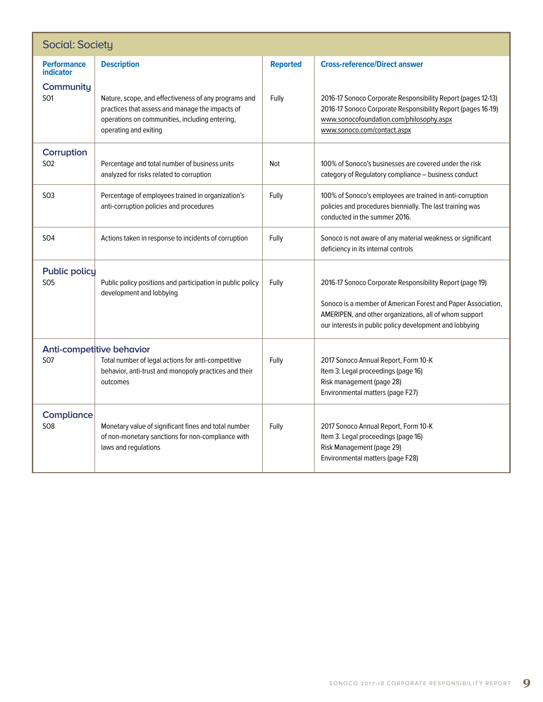| <b>Social: Society</b>                 |                                                                                                                                                                                    |                 |                                                                                                                                                                                                                                               |  |
|----------------------------------------|------------------------------------------------------------------------------------------------------------------------------------------------------------------------------------|-----------------|-----------------------------------------------------------------------------------------------------------------------------------------------------------------------------------------------------------------------------------------------|--|
| <b>Performance</b><br><b>indicator</b> | <b>Description</b>                                                                                                                                                                 | <b>Reported</b> | <b>Cross-reference/Direct answer</b>                                                                                                                                                                                                          |  |
| Community<br>SO1                       | Nature, scope, and effectiveness of any programs and<br>practices that assess and manage the impacts of<br>operations on communities, including entering,<br>operating and exiting | Fully           | 2016-17 Sonoco Corporate Responsibility Report (pages 12-13)<br>2016-17 Sonoco Corporate Responsibility Report (pages 16-19)<br>www.sonocofoundation.com/philosophy.aspx<br>www.sonoco.com/contact.aspx                                       |  |
| Corruption<br>S <sub>02</sub>          | Percentage and total number of business units<br>analyzed for risks related to corruption                                                                                          | Not             | 100% of Sonoco's businesses are covered under the risk<br>category of Regulatory compliance - business conduct                                                                                                                                |  |
| <b>SO3</b>                             | Percentage of employees trained in organization's<br>anti-corruption policies and procedures                                                                                       | Fully           | 100% of Sonoco's employees are trained in anti-corruption<br>policies and procedures biennially. The last training was<br>conducted in the summer 2016.                                                                                       |  |
| <b>SO4</b>                             | Actions taken in response to incidents of corruption                                                                                                                               | Fully           | Sonoco is not aware of any material weakness or significant<br>deficiency in its internal controls                                                                                                                                            |  |
| <b>Public policy</b><br><b>SO5</b>     | Public policy positions and participation in public policy<br>development and lobbying                                                                                             | Fully           | 2016-17 Sonoco Corporate Responsibility Report (page 19)<br>Sonoco is a member of American Forest and Paper Association,<br>AMERIPEN, and other organizations, all of whom support<br>our interests in public policy development and lobbying |  |
| <b>SO7</b>                             | Anti-competitive behavior<br>Total number of legal actions for anti-competitive<br>behavior, anti-trust and monopoly practices and their<br>outcomes                               | Fully           | 2017 Sonoco Annual Report, Form 10-K<br>Item 3: Legal proceedings (page 16)<br>Risk management (page 28)<br>Environmental matters (page F27)                                                                                                  |  |
| Compliance<br><b>SO8</b>               | Monetary value of significant fines and total number<br>of non-monetary sanctions for non-compliance with<br>laws and regulations                                                  | Fully           | 2017 Sonoco Annual Report, Form 10-K<br>Item 3. Legal proceedings (page 16)<br>Risk Management (page 29)<br>Environmental matters (page F28)                                                                                                  |  |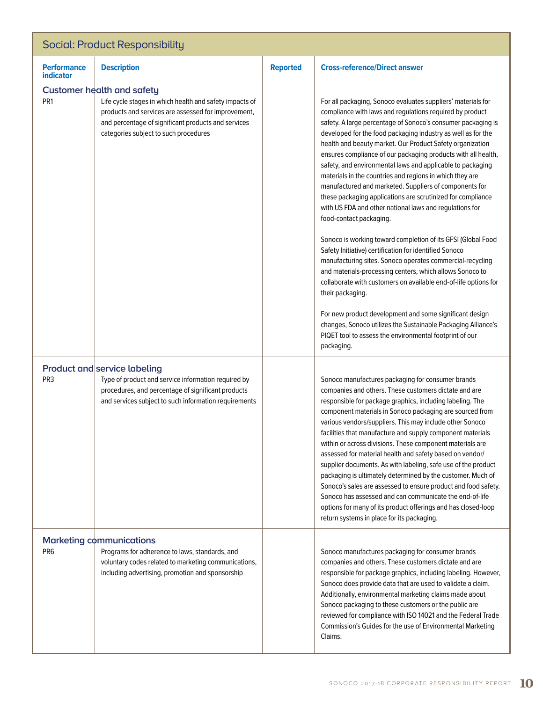## Social: Product Responsibility

| <b>Performance</b><br><b>indicator</b> | <b>Description</b>                                                                                                                                                                                                                                  | <b>Reported</b> | <b>Cross-reference/Direct answer</b>                                                                                                                                                                                                                                                                                                                                                                                                                                                                                                                                                                                                                                                                                                                                                                                                                                                                                                                                                                                                                                                                                                                                                                                                                                           |  |  |
|----------------------------------------|-----------------------------------------------------------------------------------------------------------------------------------------------------------------------------------------------------------------------------------------------------|-----------------|--------------------------------------------------------------------------------------------------------------------------------------------------------------------------------------------------------------------------------------------------------------------------------------------------------------------------------------------------------------------------------------------------------------------------------------------------------------------------------------------------------------------------------------------------------------------------------------------------------------------------------------------------------------------------------------------------------------------------------------------------------------------------------------------------------------------------------------------------------------------------------------------------------------------------------------------------------------------------------------------------------------------------------------------------------------------------------------------------------------------------------------------------------------------------------------------------------------------------------------------------------------------------------|--|--|
| PR <sub>1</sub>                        | <b>Customer health and safety</b><br>Life cycle stages in which health and safety impacts of<br>products and services are assessed for improvement,<br>and percentage of significant products and services<br>categories subject to such procedures |                 | For all packaging, Sonoco evaluates suppliers' materials for<br>compliance with laws and regulations required by product<br>safety. A large percentage of Sonoco's consumer packaging is<br>developed for the food packaging industry as well as for the<br>health and beauty market. Our Product Safety organization<br>ensures compliance of our packaging products with all health,<br>safety, and environmental laws and applicable to packaging<br>materials in the countries and regions in which they are<br>manufactured and marketed. Suppliers of components for<br>these packaging applications are scrutinized for compliance<br>with US FDA and other national laws and regulations for<br>food-contact packaging.<br>Sonoco is working toward completion of its GFSI (Global Food<br>Safety Initiative) certification for identified Sonoco<br>manufacturing sites. Sonoco operates commercial-recycling<br>and materials-processing centers, which allows Sonoco to<br>collaborate with customers on available end-of-life options for<br>their packaging.<br>For new product development and some significant design<br>changes, Sonoco utilizes the Sustainable Packaging Alliance's<br>PIQET tool to assess the environmental footprint of our<br>packaging. |  |  |
| PR <sub>3</sub>                        | <b>Product and service labeling</b><br>Type of product and service information required by<br>procedures, and percentage of significant products<br>and services subject to such information requirements                                           |                 | Sonoco manufactures packaging for consumer brands<br>companies and others. These customers dictate and are<br>responsible for package graphics, including labeling. The<br>component materials in Sonoco packaging are sourced from<br>various vendors/suppliers. This may include other Sonoco<br>facilities that manufacture and supply component materials<br>within or across divisions. These component materials are<br>assessed for material health and safety based on vendor/<br>supplier documents. As with labeling, safe use of the product<br>packaging is ultimately determined by the customer. Much of<br>Sonoco's sales are assessed to ensure product and food safety.<br>Sonoco has assessed and can communicate the end-of-life<br>options for many of its product offerings and has closed-loop<br>return systems in place for its packaging.                                                                                                                                                                                                                                                                                                                                                                                                             |  |  |
| PR <sub>6</sub>                        | <b>Marketing communications</b><br>Programs for adherence to laws, standards, and<br>voluntary codes related to marketing communications,<br>including advertising, promotion and sponsorship                                                       |                 | Sonoco manufactures packaging for consumer brands<br>companies and others. These customers dictate and are<br>responsible for package graphics, including labeling. However,<br>Sonoco does provide data that are used to validate a claim.<br>Additionally, environmental marketing claims made about<br>Sonoco packaging to these customers or the public are<br>reviewed for compliance with ISO 14021 and the Federal Trade<br>Commission's Guides for the use of Environmental Marketing<br>Claims.                                                                                                                                                                                                                                                                                                                                                                                                                                                                                                                                                                                                                                                                                                                                                                       |  |  |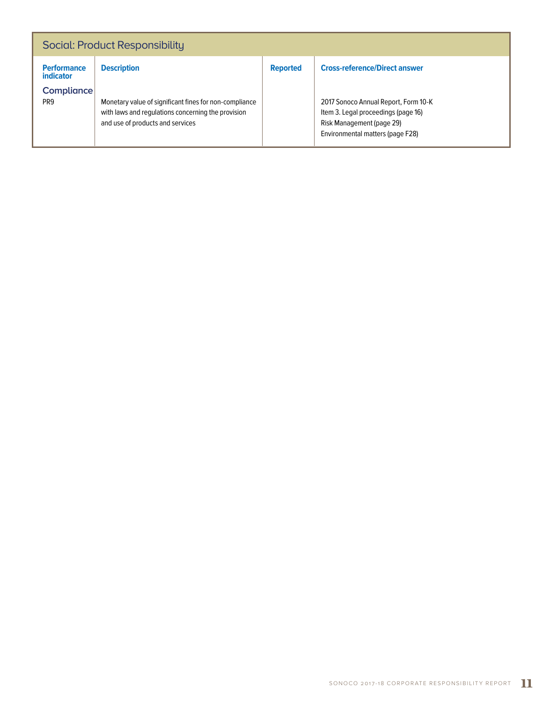| Social: Product Responsibility                                          |                                                                                                                                                                        |                 |                                                                                                                                                                                      |  |  |  |  |
|-------------------------------------------------------------------------|------------------------------------------------------------------------------------------------------------------------------------------------------------------------|-----------------|--------------------------------------------------------------------------------------------------------------------------------------------------------------------------------------|--|--|--|--|
| <b>Performance</b><br><i>indicator</i><br>Compliance<br>PR <sub>9</sub> | <b>Description</b><br>Monetary value of significant fines for non-compliance<br>with laws and regulations concerning the provision<br>and use of products and services | <b>Reported</b> | <b>Cross-reference/Direct answer</b><br>2017 Sonoco Annual Report, Form 10-K<br>Item 3. Legal proceedings (page 16)<br>Risk Management (page 29)<br>Environmental matters (page F28) |  |  |  |  |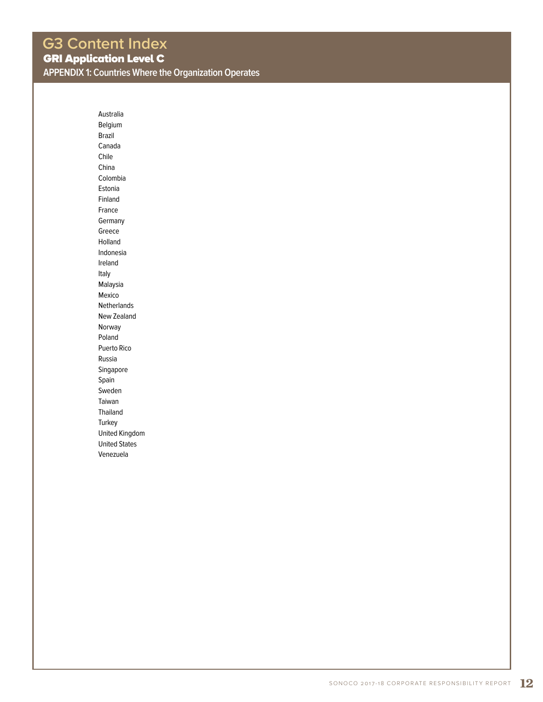Australia Belgium Brazil Canada Chile China Colombia Estonia Finland France Germany Greece Holland Indonesia Ireland Italy Malaysia Mexico Netherlands New Zealand Norway Poland Puerto Rico Russia Singapore Spain Sweden Taiwan Thailand **Turkey** United Kingdom United States Venezuela